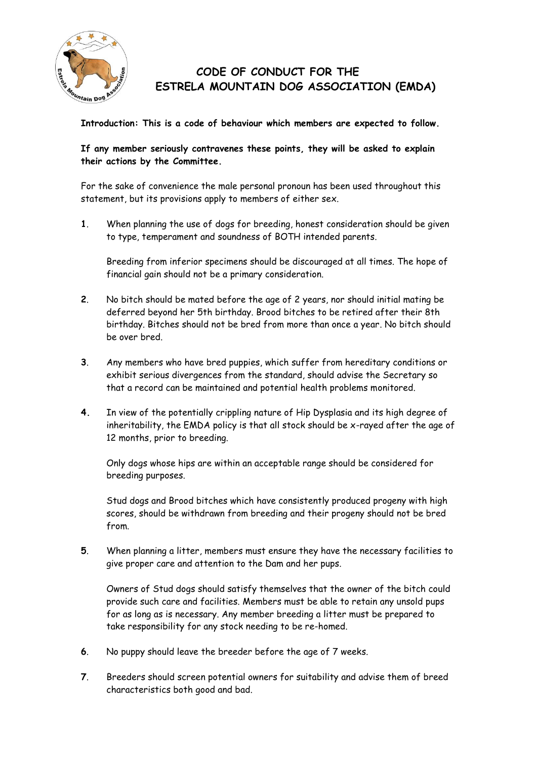

## **CODE OF CONDUCT FOR THE ESTRELA MOUNTAIN DOG ASSOCIATION (EMDA)**

**Introduction: This is a code of behaviour which members are expected to follow.**

## **If any member seriously contravenes these points, they will be asked to explain their actions by the Committee.**

For the sake of convenience the male personal pronoun has been used throughout this statement, but its provisions apply to members of either sex.

**1**. When planning the use of dogs for breeding, honest consideration should be given to type, temperament and soundness of BOTH intended parents.

Breeding from inferior specimens should be discouraged at all times. The hope of financial gain should not be a primary consideration.

- **2**. No bitch should be mated before the age of 2 years, nor should initial mating be deferred beyond her 5th birthday. Brood bitches to be retired after their 8th birthday. Bitches should not be bred from more than once a year. No bitch should be over bred.
- **3**. Any members who have bred puppies, which suffer from hereditary conditions or exhibit serious divergences from the standard, should advise the Secretary so that a record can be maintained and potential health problems monitored.
- **4.** In view of the potentially crippling nature of Hip Dysplasia and its high degree of inheritability, the EMDA policy is that all stock should be x-rayed after the age of 12 months, prior to breeding.

Only dogs whose hips are within an acceptable range should be considered for breeding purposes.

Stud dogs and Brood bitches which have consistently produced progeny with high scores, should be withdrawn from breeding and their progeny should not be bred from.

**5**. When planning a litter, members must ensure they have the necessary facilities to give proper care and attention to the Dam and her pups.

Owners of Stud dogs should satisfy themselves that the owner of the bitch could provide such care and facilities. Members must be able to retain any unsold pups for as long as is necessary. Any member breeding a litter must be prepared to take responsibility for any stock needing to be re-homed.

- **6**. No puppy should leave the breeder before the age of 7 weeks.
- **7**. Breeders should screen potential owners for suitability and advise them of breed characteristics both good and bad.